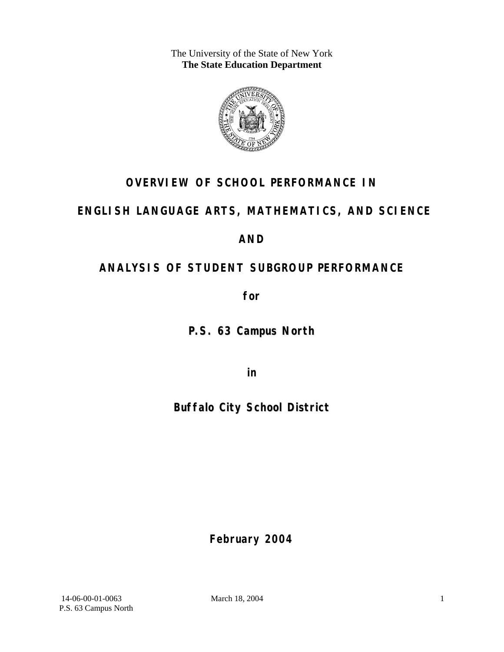The University of the State of New York **The State Education Department** 



# **OVERVIEW OF SCHOOL PERFORMANCE IN**

# **ENGLISH LANGUAGE ARTS, MATHEMATICS, AND SCIENCE**

## **AND**

# **ANALYSIS OF STUDENT SUBGROUP PERFORMANCE**

**for** 

**P.S. 63 Campus North**

**in** 

**Buffalo City School District**

**February 2004**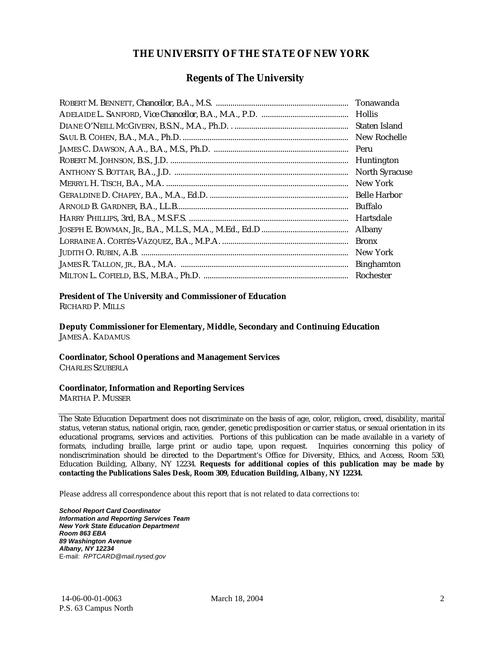#### **THE UNIVERSITY OF THE STATE OF NEW YORK**

#### **Regents of The University**

| Tonawanda             |
|-----------------------|
| <b>Hollis</b>         |
| Staten Island         |
| New Rochelle          |
| Peru                  |
| Huntington            |
| <b>North Syracuse</b> |
| New York              |
| <b>Belle Harbor</b>   |
| <b>Buffalo</b>        |
| Hartsdale             |
| Albany                |
| <b>Bronx</b>          |
| New York              |
| <b>Binghamton</b>     |
| Rochester             |

#### **President of The University and Commissioner of Education**

RICHARD P. MILLS

**Deputy Commissioner for Elementary, Middle, Secondary and Continuing Education**  JAMES A. KADAMUS

#### **Coordinator, School Operations and Management Services**

CHARLES SZUBERLA

#### **Coordinator, Information and Reporting Services**

MARTHA P. MUSSER

The State Education Department does not discriminate on the basis of age, color, religion, creed, disability, marital status, veteran status, national origin, race, gender, genetic predisposition or carrier status, or sexual orientation in its educational programs, services and activities. Portions of this publication can be made available in a variety of formats, including braille, large print or audio tape, upon request. Inquiries concerning this policy of nondiscrimination should be directed to the Department's Office for Diversity, Ethics, and Access, Room 530, Education Building, Albany, NY 12234. **Requests for additional copies of this publication may be made by contacting the Publications Sales Desk, Room 309, Education Building, Albany, NY 12234.** 

Please address all correspondence about this report that is not related to data corrections to:

*School Report Card Coordinator Information and Reporting Services Team New York State Education Department Room 863 EBA 89 Washington Avenue Albany, NY 12234*  E-mail: *RPTCARD@mail.nysed.gov*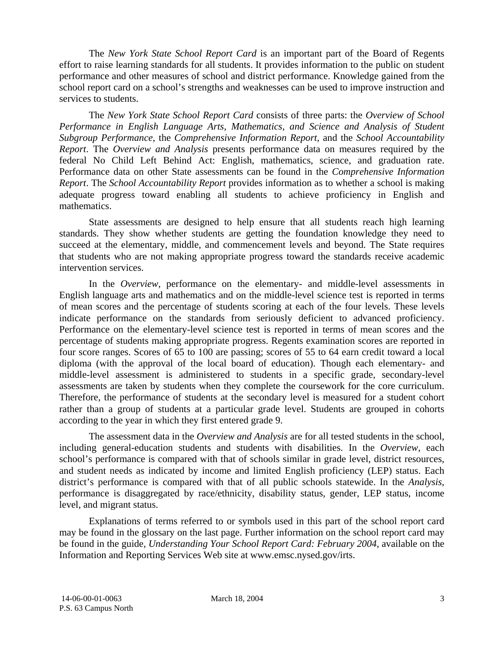The *New York State School Report Card* is an important part of the Board of Regents effort to raise learning standards for all students. It provides information to the public on student performance and other measures of school and district performance. Knowledge gained from the school report card on a school's strengths and weaknesses can be used to improve instruction and services to students.

The *New York State School Report Card* consists of three parts: the *Overview of School Performance in English Language Arts, Mathematics, and Science and Analysis of Student Subgroup Performance,* the *Comprehensive Information Report,* and the *School Accountability Report*. The *Overview and Analysis* presents performance data on measures required by the federal No Child Left Behind Act: English, mathematics, science, and graduation rate. Performance data on other State assessments can be found in the *Comprehensive Information Report*. The *School Accountability Report* provides information as to whether a school is making adequate progress toward enabling all students to achieve proficiency in English and mathematics.

State assessments are designed to help ensure that all students reach high learning standards. They show whether students are getting the foundation knowledge they need to succeed at the elementary, middle, and commencement levels and beyond. The State requires that students who are not making appropriate progress toward the standards receive academic intervention services.

In the *Overview*, performance on the elementary- and middle-level assessments in English language arts and mathematics and on the middle-level science test is reported in terms of mean scores and the percentage of students scoring at each of the four levels. These levels indicate performance on the standards from seriously deficient to advanced proficiency. Performance on the elementary-level science test is reported in terms of mean scores and the percentage of students making appropriate progress. Regents examination scores are reported in four score ranges. Scores of 65 to 100 are passing; scores of 55 to 64 earn credit toward a local diploma (with the approval of the local board of education). Though each elementary- and middle-level assessment is administered to students in a specific grade, secondary-level assessments are taken by students when they complete the coursework for the core curriculum. Therefore, the performance of students at the secondary level is measured for a student cohort rather than a group of students at a particular grade level. Students are grouped in cohorts according to the year in which they first entered grade 9.

The assessment data in the *Overview and Analysis* are for all tested students in the school, including general-education students and students with disabilities. In the *Overview*, each school's performance is compared with that of schools similar in grade level, district resources, and student needs as indicated by income and limited English proficiency (LEP) status. Each district's performance is compared with that of all public schools statewide. In the *Analysis*, performance is disaggregated by race/ethnicity, disability status, gender, LEP status, income level, and migrant status.

Explanations of terms referred to or symbols used in this part of the school report card may be found in the glossary on the last page. Further information on the school report card may be found in the guide, *Understanding Your School Report Card: February 2004*, available on the Information and Reporting Services Web site at www.emsc.nysed.gov/irts.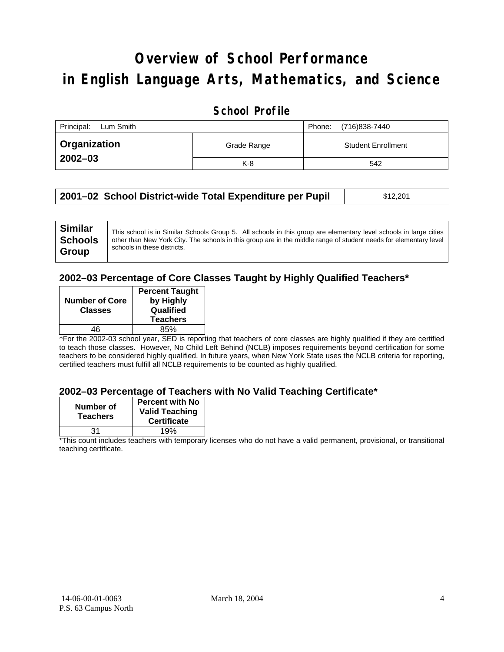# **Overview of School Performance in English Language Arts, Mathematics, and Science**

### **School Profile**

| Principal:<br>Lum Smith |             | (716)838-7440<br>Phone:   |
|-------------------------|-------------|---------------------------|
| <b>Organization</b>     | Grade Range | <b>Student Enrollment</b> |
| $2002 - 03$             | $K-8$       | 542                       |

| 2001–02 School District-wide Total Expenditure per Pupil | \$12,201 |
|----------------------------------------------------------|----------|
|----------------------------------------------------------|----------|

#### **2002–03 Percentage of Core Classes Taught by Highly Qualified Teachers\***

| <b>Number of Core</b><br><b>Classes</b> | <b>Percent Taught</b><br>by Highly<br>Qualified<br><b>Teachers</b> |
|-----------------------------------------|--------------------------------------------------------------------|
| 46                                      | 85%                                                                |

\*For the 2002-03 school year, SED is reporting that teachers of core classes are highly qualified if they are certified to teach those classes. However, No Child Left Behind (NCLB) imposes requirements beyond certification for some teachers to be considered highly qualified. In future years, when New York State uses the NCLB criteria for reporting, certified teachers must fulfill all NCLB requirements to be counted as highly qualified.

#### **2002–03 Percentage of Teachers with No Valid Teaching Certificate\***

| Number of<br><b>Teachers</b> | <b>Percent with No</b><br><b>Valid Teaching</b><br><b>Certificate</b> |
|------------------------------|-----------------------------------------------------------------------|
| 31                           | 19%                                                                   |

\*This count includes teachers with temporary licenses who do not have a valid permanent, provisional, or transitional teaching certificate.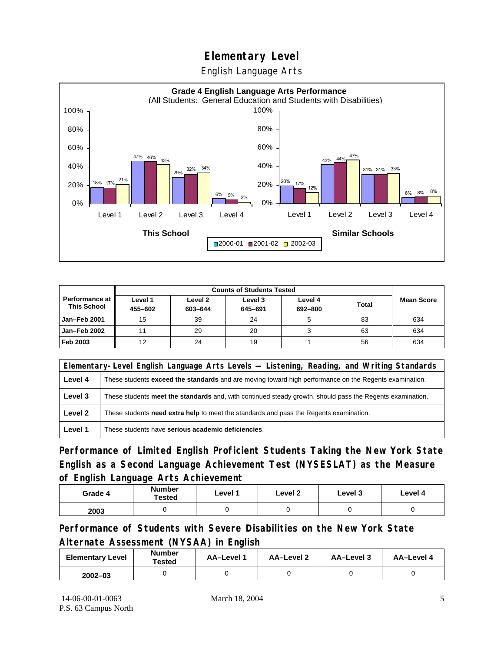English Language Arts



|                                      |                    | <b>Counts of Students Tested</b> |                    |                    |              |                   |
|--------------------------------------|--------------------|----------------------------------|--------------------|--------------------|--------------|-------------------|
| Performance at<br><b>This School</b> | Level 1<br>455-602 | Level 2<br>603-644               | Level 3<br>645-691 | Level 4<br>692-800 | <b>Total</b> | <b>Mean Score</b> |
| Jan-Feb 2001                         | 15                 | 39                               | 24                 |                    | 83           | 634               |
| Jan-Feb 2002                         | 11                 | 29                               | 20                 | ت                  | 63           | 634               |
| Feb 2003                             | 12                 | 24                               | 19                 |                    | 56           | 634               |

| Elementary-Level English Language Arts Levels — Listening, Reading, and Writing Standards |                                                                                                               |  |  |  |
|-------------------------------------------------------------------------------------------|---------------------------------------------------------------------------------------------------------------|--|--|--|
| Level 4                                                                                   | These students <b>exceed the standards</b> and are moving toward high performance on the Regents examination. |  |  |  |
| Level 3                                                                                   | These students meet the standards and, with continued steady growth, should pass the Regents examination.     |  |  |  |
| Level 2                                                                                   | These students <b>need extra help</b> to meet the standards and pass the Regents examination.                 |  |  |  |
| Level 1                                                                                   | These students have serious academic deficiencies.                                                            |  |  |  |

**Performance of Limited English Proficient Students Taking the New York State English as a Second Language Achievement Test (NYSESLAT) as the Measure of English Language Arts Achievement**

| Grade 4 | <b>Number</b><br><b>Tested</b> | Level 1 | Level 2 | Level 3 | Level 4 |
|---------|--------------------------------|---------|---------|---------|---------|
| 2003    |                                |         |         |         |         |

**Performance of Students with Severe Disabilities on the New York State Alternate Assessment (NYSAA) in English** 

| <b>Elementary Level</b> | <b>Number</b><br>Tested | AA-Level 1 | AA-Level 2 | AA-Level 3 | AA-Level 4 |
|-------------------------|-------------------------|------------|------------|------------|------------|
| $2002 - 03$             |                         |            |            |            |            |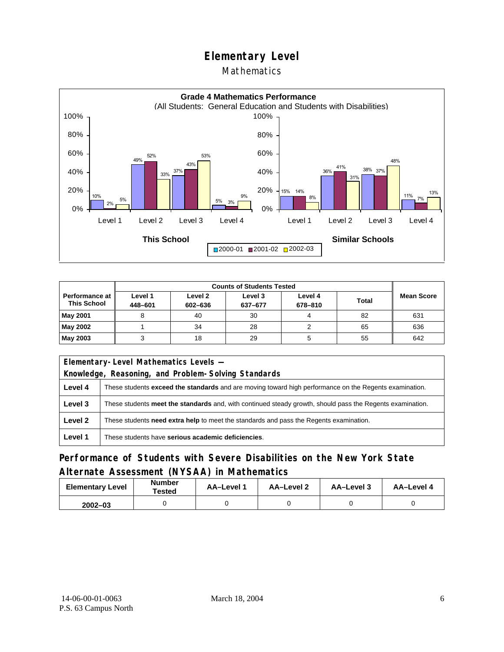### **Mathematics**



|                                             | <b>Counts of Students Tested</b> |                    |                    |                    |              |                   |
|---------------------------------------------|----------------------------------|--------------------|--------------------|--------------------|--------------|-------------------|
| <b>Performance at</b><br><b>This School</b> | Level 1<br>448-601               | Level 2<br>602-636 | Level 3<br>637-677 | Level 4<br>678-810 | <b>Total</b> | <b>Mean Score</b> |
| <b>May 2001</b>                             |                                  | 40                 | 30                 |                    | 82           | 631               |
| May 2002                                    |                                  | 34                 | 28                 |                    | 65           | 636               |
| May 2003                                    |                                  | 18                 | 29                 |                    | 55           | 642               |

|                                                     | Elementary-Level Mathematics Levels -                                                                         |  |  |
|-----------------------------------------------------|---------------------------------------------------------------------------------------------------------------|--|--|
| Knowledge, Reasoning, and Problem-Solving Standards |                                                                                                               |  |  |
| Level 4                                             | These students <b>exceed the standards</b> and are moving toward high performance on the Regents examination. |  |  |
| Level 3                                             | These students meet the standards and, with continued steady growth, should pass the Regents examination.     |  |  |
| Level 2                                             | These students <b>need extra help</b> to meet the standards and pass the Regents examination.                 |  |  |
| Level 1                                             | These students have serious academic deficiencies.                                                            |  |  |

## **Performance of Students with Severe Disabilities on the New York State Alternate Assessment (NYSAA) in Mathematics**

| <b>Elementary Level</b> | <b>Number</b><br>Tested | AA-Level 1 | AA-Level 2 | AA-Level 3 | AA-Level 4 |
|-------------------------|-------------------------|------------|------------|------------|------------|
| $2002 - 03$             |                         |            |            |            |            |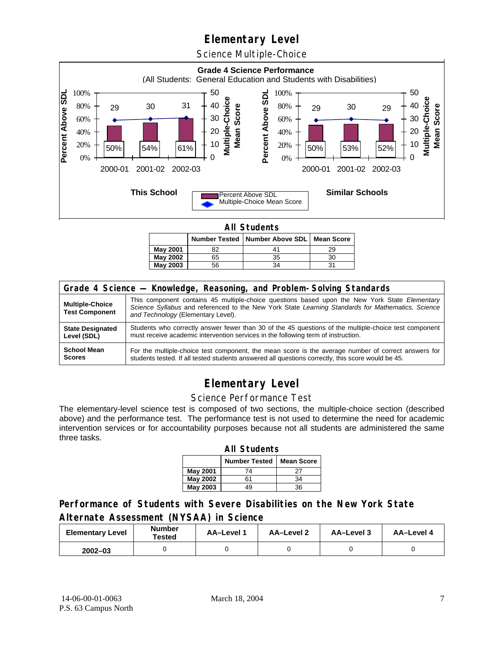Science Multiple-Choice



**All Students** 

|          |    | Number Tested   Number Above SDL   Mean Score |    |
|----------|----|-----------------------------------------------|----|
| May 2001 | 82 |                                               | 29 |
| May 2002 | 65 | 35                                            | 30 |
| May 2003 | 56 | 34                                            |    |

| Grade 4 Science - Knowledge, Reasoning, and Problem-Solving Standards |                                                                                                                                                                                                                                          |  |  |  |  |
|-----------------------------------------------------------------------|------------------------------------------------------------------------------------------------------------------------------------------------------------------------------------------------------------------------------------------|--|--|--|--|
| <b>Multiple-Choice</b><br><b>Test Component</b>                       | This component contains 45 multiple-choice questions based upon the New York State Elementary<br>Science Syllabus and referenced to the New York State Learning Standards for Mathematics, Science<br>and Technology (Elementary Level). |  |  |  |  |
| <b>State Designated</b>                                               | Students who correctly answer fewer than 30 of the 45 questions of the multiple-choice test component                                                                                                                                    |  |  |  |  |
| Level (SDL)                                                           | must receive academic intervention services in the following term of instruction.                                                                                                                                                        |  |  |  |  |
| <b>School Mean</b>                                                    | For the multiple-choice test component, the mean score is the average number of correct answers for                                                                                                                                      |  |  |  |  |
| <b>Scores</b>                                                         | students tested. If all tested students answered all questions correctly, this score would be 45.                                                                                                                                        |  |  |  |  |

# **Elementary Level**

#### Science Performance Test

The elementary-level science test is composed of two sections, the multiple-choice section (described above) and the performance test. The performance test is not used to determine the need for academic intervention services or for accountability purposes because not all students are administered the same three tasks.

| <b>All Students</b>                       |    |    |  |  |  |  |
|-------------------------------------------|----|----|--|--|--|--|
| <b>Number Tested</b><br><b>Mean Score</b> |    |    |  |  |  |  |
| May 2001                                  | 74 | 27 |  |  |  |  |
| May 2002                                  | 61 | 34 |  |  |  |  |
| <b>May 2003</b>                           | 19 | 36 |  |  |  |  |

### **Performance of Students with Severe Disabilities on the New York State Alternate Assessment (NYSAA) in Science**

| <b>Elementary Level</b> | <b>Number</b><br>Tested | AA-Level 1 | <b>AA-Level 2</b> | AA-Level 3 | AA-Level 4 |
|-------------------------|-------------------------|------------|-------------------|------------|------------|
| $2002 - 03$             |                         |            |                   |            |            |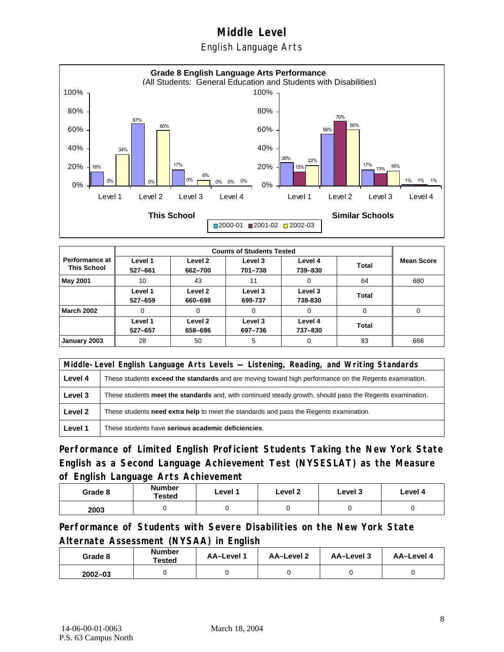English Language Arts



|                                      |                    | <b>Counts of Students Tested</b> |                    |                    |          |                   |  |  |
|--------------------------------------|--------------------|----------------------------------|--------------------|--------------------|----------|-------------------|--|--|
| Performance at<br><b>This School</b> | Level 1<br>527-661 | Level 2<br>662-700               | Level 3<br>701-738 | Level 4<br>739-830 | Total    | <b>Mean Score</b> |  |  |
| <b>May 2001</b>                      | 10                 | 43                               | 11                 | 0                  | 64       | 680               |  |  |
|                                      | Level 1<br>527-659 | Level 2<br>660-698               | Level 3<br>699-737 | Level 3<br>738-830 | Total    |                   |  |  |
| <b>March 2002</b>                    | 0                  | $\Omega$                         | $\Omega$           | $\Omega$           | $\Omega$ | $\Omega$          |  |  |
|                                      | Level 1<br>527-657 | Level 2<br>658-696               | Level 3<br>697-736 | Level 4<br>737-830 | Total    |                   |  |  |
| January 2003                         | 28                 | 50                               | 5                  | $\Omega$           | 83       | 666               |  |  |

|         | Middle-Level English Language Arts Levels — Listening, Reading, and Writing Standards                         |  |  |  |  |
|---------|---------------------------------------------------------------------------------------------------------------|--|--|--|--|
| Level 4 | These students <b>exceed the standards</b> and are moving toward high performance on the Regents examination. |  |  |  |  |
| Level 3 | These students meet the standards and, with continued steady growth, should pass the Regents examination.     |  |  |  |  |
| Level 2 | These students <b>need extra help</b> to meet the standards and pass the Regents examination.                 |  |  |  |  |
| Level 1 | These students have serious academic deficiencies.                                                            |  |  |  |  |

**Performance of Limited English Proficient Students Taking the New York State English as a Second Language Achievement Test (NYSESLAT) as the Measure of English Language Arts Achievement**

| Grade 8 | <b>Number</b><br>Tested | Level 1 | Level 2 | Level 3 | Level 4 |
|---------|-------------------------|---------|---------|---------|---------|
| 2003    |                         |         |         |         |         |

**Performance of Students with Severe Disabilities on the New York State Alternate Assessment (NYSAA) in English** 

| Grade 8     | Number<br>Tested | AA-Level 1 | AA-Level 2 | AA-Level 3 | AA-Level 4 |
|-------------|------------------|------------|------------|------------|------------|
| $2002 - 03$ |                  |            |            |            |            |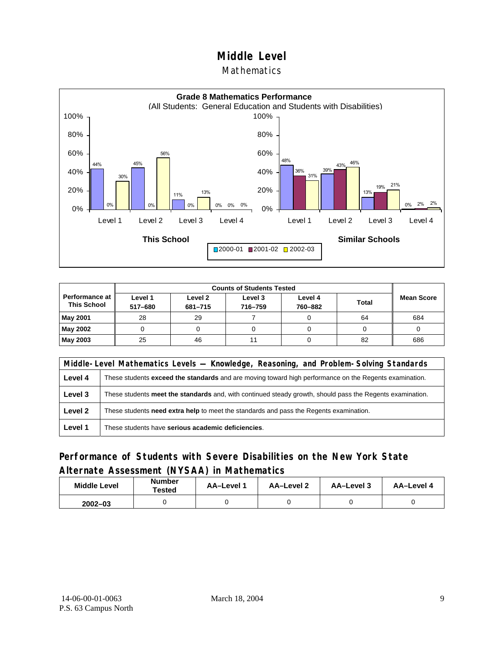#### Mathematics



|                                        | <b>Counts of Students Tested</b> |                    |                    |                    |              |                   |
|----------------------------------------|----------------------------------|--------------------|--------------------|--------------------|--------------|-------------------|
| Performance at I<br><b>This School</b> | Level 1<br>517-680               | Level 2<br>681-715 | Level 3<br>716-759 | Level 4<br>760-882 | <b>Total</b> | <b>Mean Score</b> |
| May 2001                               | 28                               | 29                 |                    |                    | 64           | 684               |
| May 2002                               |                                  |                    |                    |                    |              |                   |
| <b>May 2003</b>                        | 25                               | 46                 |                    |                    | 82           | 686               |

|         | Middle-Level Mathematics Levels — Knowledge, Reasoning, and Problem-Solving Standards                         |  |  |  |  |
|---------|---------------------------------------------------------------------------------------------------------------|--|--|--|--|
| Level 4 | These students <b>exceed the standards</b> and are moving toward high performance on the Regents examination. |  |  |  |  |
| Level 3 | These students meet the standards and, with continued steady growth, should pass the Regents examination.     |  |  |  |  |
| Level 2 | These students <b>need extra help</b> to meet the standards and pass the Regents examination.                 |  |  |  |  |
| Level 1 | These students have serious academic deficiencies.                                                            |  |  |  |  |

### **Performance of Students with Severe Disabilities on the New York State Alternate Assessment (NYSAA) in Mathematics**

| <b>Middle Level</b> | <b>Number</b><br>Tested | <b>AA–Level</b> 1 | AA-Level 2 | AA-Level 3 | AA-Level 4 |
|---------------------|-------------------------|-------------------|------------|------------|------------|
| $2002 - 03$         |                         |                   |            |            |            |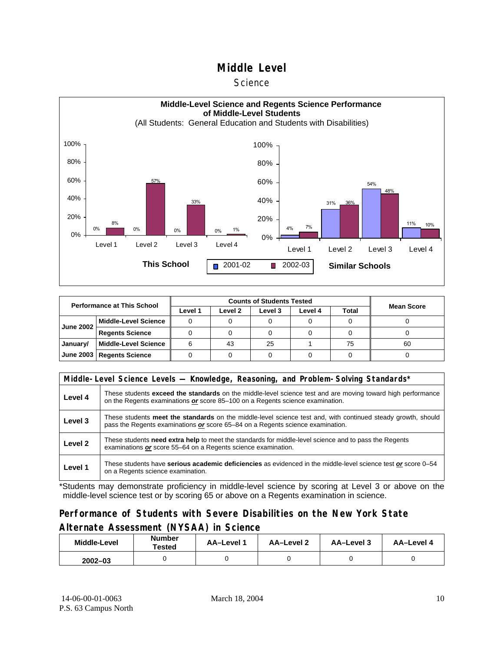#### **Science**



| <b>Performance at This School</b> |                             |         |         |         |         |       |                   |
|-----------------------------------|-----------------------------|---------|---------|---------|---------|-------|-------------------|
|                                   |                             | Level 1 | Level 2 | Level 3 | Level 4 | Total | <b>Mean Score</b> |
| <b>June 2002</b>                  | l Middle-Level Science      |         |         |         |         |       |                   |
|                                   | <b>Regents Science</b>      |         |         |         |         |       |                   |
| January/                          | Middle-Level Science        |         | 43      | 25      |         | 75    | 60                |
|                                   | June 2003   Regents Science |         |         |         |         |       |                   |

|         | Middle-Level Science Levels — Knowledge, Reasoning, and Problem-Solving Standards*                                                                                                                  |  |  |  |  |  |  |  |
|---------|-----------------------------------------------------------------------------------------------------------------------------------------------------------------------------------------------------|--|--|--|--|--|--|--|
| Level 4 | These students <b>exceed the standards</b> on the middle-level science test and are moving toward high performance<br>on the Regents examinations or score 85–100 on a Regents science examination. |  |  |  |  |  |  |  |
| Level 3 | These students meet the standards on the middle-level science test and, with continued steady growth, should<br>pass the Regents examinations or score 65-84 on a Regents science examination.      |  |  |  |  |  |  |  |
| Level 2 | These students <b>need extra help</b> to meet the standards for middle-level science and to pass the Regents<br>examinations or score 55-64 on a Regents science examination.                       |  |  |  |  |  |  |  |
| Level 1 | These students have serious academic deficiencies as evidenced in the middle-level science test or score 0–54<br>on a Regents science examination.                                                  |  |  |  |  |  |  |  |

\*Students may demonstrate proficiency in middle-level science by scoring at Level 3 or above on the middle-level science test or by scoring 65 or above on a Regents examination in science.

#### **Performance of Students with Severe Disabilities on the New York State Alternate Assessment (NYSAA) in Science**

| <b>Number</b><br>Middle-Level<br>Tested |  | AA-Level 1 | AA-Level 2 | AA-Level 3 | AA-Level 4 |  |
|-----------------------------------------|--|------------|------------|------------|------------|--|
| $2002 - 03$                             |  |            |            |            |            |  |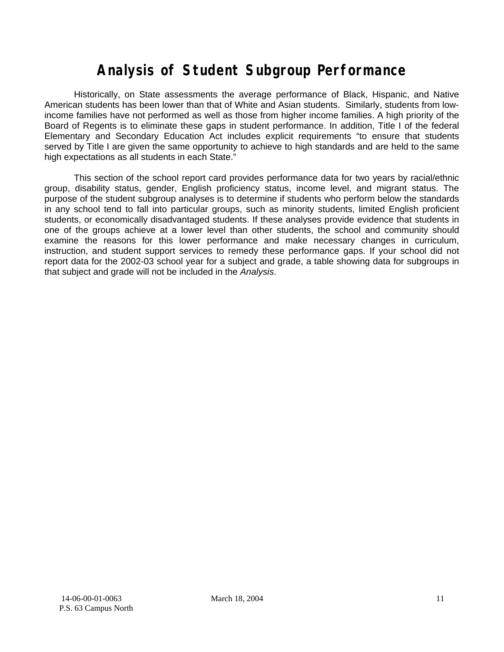# **Analysis of Student Subgroup Performance**

Historically, on State assessments the average performance of Black, Hispanic, and Native American students has been lower than that of White and Asian students. Similarly, students from lowincome families have not performed as well as those from higher income families. A high priority of the Board of Regents is to eliminate these gaps in student performance. In addition, Title I of the federal Elementary and Secondary Education Act includes explicit requirements "to ensure that students served by Title I are given the same opportunity to achieve to high standards and are held to the same high expectations as all students in each State."

This section of the school report card provides performance data for two years by racial/ethnic group, disability status, gender, English proficiency status, income level, and migrant status. The purpose of the student subgroup analyses is to determine if students who perform below the standards in any school tend to fall into particular groups, such as minority students, limited English proficient students, or economically disadvantaged students. If these analyses provide evidence that students in one of the groups achieve at a lower level than other students, the school and community should examine the reasons for this lower performance and make necessary changes in curriculum, instruction, and student support services to remedy these performance gaps. If your school did not report data for the 2002-03 school year for a subject and grade, a table showing data for subgroups in that subject and grade will not be included in the *Analysis*.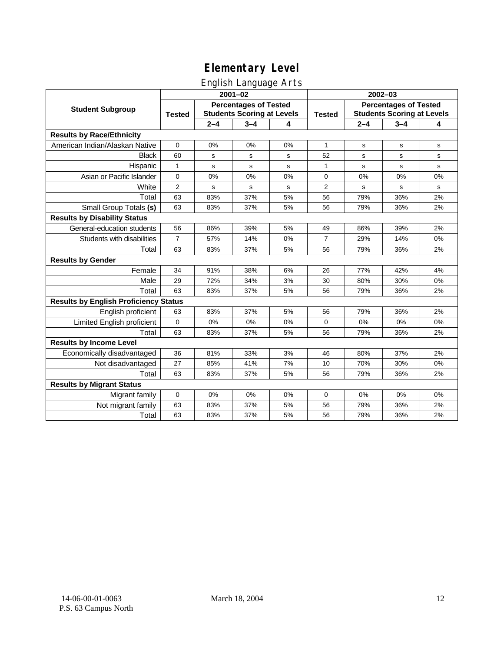## English Language Arts

|                                              |                |                                                                   | ັ<br>$2001 - 02$ |    | 2002-03        |                                                                   |         |             |  |
|----------------------------------------------|----------------|-------------------------------------------------------------------|------------------|----|----------------|-------------------------------------------------------------------|---------|-------------|--|
| <b>Student Subgroup</b>                      | <b>Tested</b>  | <b>Percentages of Tested</b><br><b>Students Scoring at Levels</b> |                  |    | <b>Tested</b>  | <b>Percentages of Tested</b><br><b>Students Scoring at Levels</b> |         |             |  |
|                                              |                | $2 - 4$                                                           | $3 - 4$          | 4  |                | $2 - 4$                                                           | $3 - 4$ | 4           |  |
| <b>Results by Race/Ethnicity</b>             |                |                                                                   |                  |    |                |                                                                   |         |             |  |
| American Indian/Alaskan Native               | $\mathbf 0$    | 0%                                                                | 0%               | 0% | 1              | s                                                                 | s       | s           |  |
| <b>Black</b>                                 | 60             | s                                                                 | s                | s  | 52             | s                                                                 | s       | s           |  |
| Hispanic                                     | $\mathbf{1}$   | s                                                                 | $\mathbf s$      | S  | 1              | $\mathbf s$                                                       | s       | $\mathbf s$ |  |
| Asian or Pacific Islander                    | 0              | 0%                                                                | 0%               | 0% | 0              | 0%                                                                | 0%      | 0%          |  |
| White                                        | $\overline{2}$ | s                                                                 | s                | S  | $\overline{2}$ | $\mathbf s$                                                       | s       | s           |  |
| Total                                        | 63             | 83%                                                               | 37%              | 5% | 56             | 79%                                                               | 36%     | 2%          |  |
| Small Group Totals (s)                       | 63             | 83%                                                               | 37%              | 5% | 56             | 79%                                                               | 36%     | 2%          |  |
| <b>Results by Disability Status</b>          |                |                                                                   |                  |    |                |                                                                   |         |             |  |
| General-education students                   | 56             | 86%                                                               | 39%              | 5% | 49             | 86%                                                               | 39%     | 2%          |  |
| Students with disabilities                   | $\overline{7}$ | 57%                                                               | 14%              | 0% | $\overline{7}$ | 29%                                                               | 14%     | $0\%$       |  |
| Total                                        | 63             | 83%                                                               | 37%              | 5% | 56             | 79%                                                               | 36%     | 2%          |  |
| <b>Results by Gender</b>                     |                |                                                                   |                  |    |                |                                                                   |         |             |  |
| Female                                       | 34             | 91%                                                               | 38%              | 6% | 26             | 77%                                                               | 42%     | 4%          |  |
| Male                                         | 29             | 72%                                                               | 34%              | 3% | 30             | 80%                                                               | 30%     | 0%          |  |
| Total                                        | 63             | 83%                                                               | 37%              | 5% | 56             | 79%                                                               | 36%     | 2%          |  |
| <b>Results by English Proficiency Status</b> |                |                                                                   |                  |    |                |                                                                   |         |             |  |
| English proficient                           | 63             | 83%                                                               | 37%              | 5% | 56             | 79%                                                               | 36%     | 2%          |  |
| Limited English proficient                   | $\mathbf 0$    | 0%                                                                | 0%               | 0% | 0              | 0%                                                                | 0%      | 0%          |  |
| Total                                        | 63             | 83%                                                               | 37%              | 5% | 56             | 79%                                                               | 36%     | 2%          |  |
| <b>Results by Income Level</b>               |                |                                                                   |                  |    |                |                                                                   |         |             |  |
| Economically disadvantaged                   | 36             | 81%                                                               | 33%              | 3% | 46             | 80%                                                               | 37%     | 2%          |  |
| Not disadvantaged                            | 27             | 85%                                                               | 41%              | 7% | 10             | 70%                                                               | 30%     | 0%          |  |
| Total                                        | 63             | 83%                                                               | 37%              | 5% | 56             | 79%                                                               | 36%     | 2%          |  |
| <b>Results by Migrant Status</b>             |                |                                                                   |                  |    |                |                                                                   |         |             |  |
| Migrant family                               | $\mathbf 0$    | 0%                                                                | 0%               | 0% | $\mathbf 0$    | 0%                                                                | 0%      | 0%          |  |
| Not migrant family                           | 63             | 83%                                                               | 37%              | 5% | 56             | 79%                                                               | 36%     | 2%          |  |
| Total                                        | 63             | 83%                                                               | 37%              | 5% | 56             | 79%                                                               | 36%     | 2%          |  |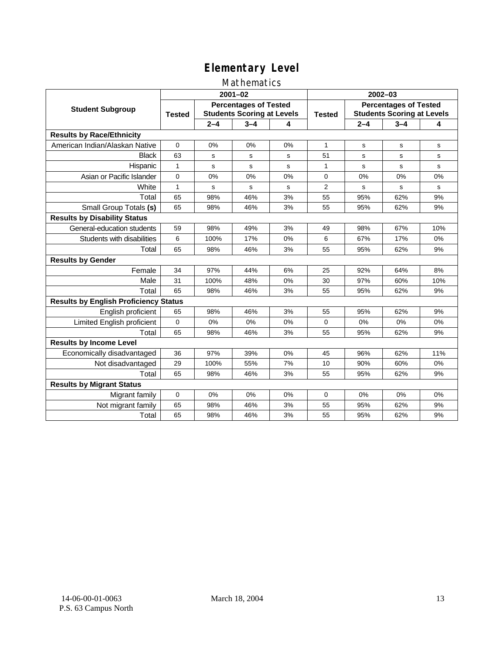### Mathematics

|                                              |                                                                                    |         | $2001 - 02$ |               | $2002 - 03$                                                       |         |         |             |  |
|----------------------------------------------|------------------------------------------------------------------------------------|---------|-------------|---------------|-------------------------------------------------------------------|---------|---------|-------------|--|
| <b>Student Subgroup</b>                      | <b>Percentages of Tested</b><br><b>Students Scoring at Levels</b><br><b>Tested</b> |         |             | <b>Tested</b> | <b>Percentages of Tested</b><br><b>Students Scoring at Levels</b> |         |         |             |  |
|                                              |                                                                                    | $2 - 4$ | $3 - 4$     | 4             |                                                                   | $2 - 4$ | $3 - 4$ | 4           |  |
| <b>Results by Race/Ethnicity</b>             |                                                                                    |         |             |               |                                                                   |         |         |             |  |
| American Indian/Alaskan Native               | $\Omega$                                                                           | 0%      | 0%          | 0%            | $\mathbf{1}$                                                      | s       | s       | s           |  |
| <b>Black</b>                                 | 63                                                                                 | s       | s           | s             | 51                                                                | s       | s       | s           |  |
| Hispanic                                     | $\mathbf{1}$                                                                       | s       | s           | s             | 1                                                                 | s       | s       | s           |  |
| Asian or Pacific Islander                    | 0                                                                                  | 0%      | 0%          | $0\%$         | 0                                                                 | 0%      | 0%      | 0%          |  |
| White                                        | 1                                                                                  | s       | $\mathbf s$ | s             | $\overline{2}$                                                    | s       | s       | $\mathbf s$ |  |
| Total                                        | 65                                                                                 | 98%     | 46%         | 3%            | 55                                                                | 95%     | 62%     | 9%          |  |
| Small Group Totals (s)                       | 65                                                                                 | 98%     | 46%         | 3%            | 55                                                                | 95%     | 62%     | 9%          |  |
| <b>Results by Disability Status</b>          |                                                                                    |         |             |               |                                                                   |         |         |             |  |
| General-education students                   | 59                                                                                 | 98%     | 49%         | 3%            | 49                                                                | 98%     | 67%     | 10%         |  |
| Students with disabilities                   | 6                                                                                  | 100%    | 17%         | 0%            | 6                                                                 | 67%     | 17%     | 0%          |  |
| Total                                        | 65                                                                                 | 98%     | 46%         | 3%            | 55                                                                | 95%     | 62%     | 9%          |  |
| <b>Results by Gender</b>                     |                                                                                    |         |             |               |                                                                   |         |         |             |  |
| Female                                       | 34                                                                                 | 97%     | 44%         | 6%            | 25                                                                | 92%     | 64%     | 8%          |  |
| Male                                         | 31                                                                                 | 100%    | 48%         | 0%            | 30                                                                | 97%     | 60%     | 10%         |  |
| Total                                        | 65                                                                                 | 98%     | 46%         | 3%            | 55                                                                | 95%     | 62%     | 9%          |  |
| <b>Results by English Proficiency Status</b> |                                                                                    |         |             |               |                                                                   |         |         |             |  |
| English proficient                           | 65                                                                                 | 98%     | 46%         | 3%            | 55                                                                | 95%     | 62%     | 9%          |  |
| Limited English proficient                   | $\Omega$                                                                           | 0%      | 0%          | 0%            | $\Omega$                                                          | 0%      | 0%      | 0%          |  |
| Total                                        | 65                                                                                 | 98%     | 46%         | 3%            | 55                                                                | 95%     | 62%     | 9%          |  |
| <b>Results by Income Level</b>               |                                                                                    |         |             |               |                                                                   |         |         |             |  |
| Economically disadvantaged                   | 36                                                                                 | 97%     | 39%         | 0%            | 45                                                                | 96%     | 62%     | 11%         |  |
| Not disadvantaged                            | 29                                                                                 | 100%    | 55%         | 7%            | 10                                                                | 90%     | 60%     | 0%          |  |
| Total                                        | 65                                                                                 | 98%     | 46%         | 3%            | 55                                                                | 95%     | 62%     | 9%          |  |
| <b>Results by Migrant Status</b>             |                                                                                    |         |             |               |                                                                   |         |         |             |  |
| Migrant family                               | 0                                                                                  | 0%      | 0%          | 0%            | 0                                                                 | 0%      | 0%      | 0%          |  |
| Not migrant family                           | 65                                                                                 | 98%     | 46%         | 3%            | 55                                                                | 95%     | 62%     | 9%          |  |
| Total                                        | 65                                                                                 | 98%     | 46%         | 3%            | 55                                                                | 95%     | 62%     | 9%          |  |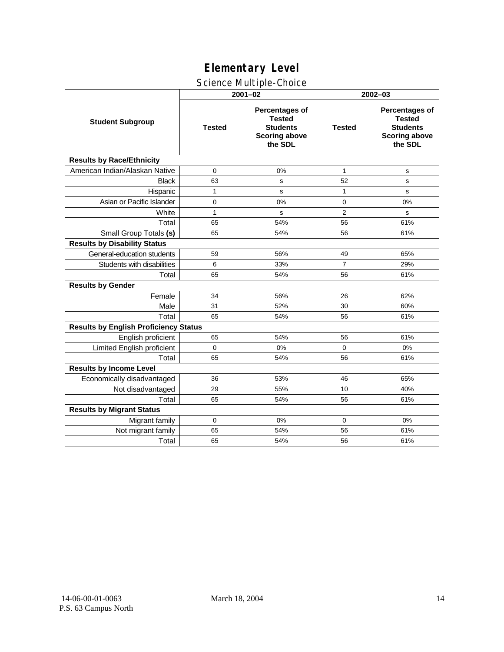## Science Multiple-Choice

|                                              | $2001 - 02$   |                                                                                       | $2002 - 03$    |                                                                                              |  |  |
|----------------------------------------------|---------------|---------------------------------------------------------------------------------------|----------------|----------------------------------------------------------------------------------------------|--|--|
| <b>Student Subgroup</b>                      | <b>Tested</b> | Percentages of<br><b>Tested</b><br><b>Students</b><br><b>Scoring above</b><br>the SDL | <b>Tested</b>  | <b>Percentages of</b><br><b>Tested</b><br><b>Students</b><br><b>Scoring above</b><br>the SDL |  |  |
| <b>Results by Race/Ethnicity</b>             |               |                                                                                       |                |                                                                                              |  |  |
| American Indian/Alaskan Native               | 0             | 0%                                                                                    | $\mathbf{1}$   | s                                                                                            |  |  |
| <b>Black</b>                                 | 63            | s                                                                                     | 52             | $\mathbf s$                                                                                  |  |  |
| Hispanic                                     | 1             | s                                                                                     | 1              | s                                                                                            |  |  |
| Asian or Pacific Islander                    | 0             | 0%                                                                                    | 0              | 0%                                                                                           |  |  |
| White                                        | $\mathbf{1}$  | s                                                                                     | $\overline{2}$ | s                                                                                            |  |  |
| Total                                        | 65            | 54%                                                                                   | 56             | 61%                                                                                          |  |  |
| Small Group Totals (s)                       | 65            | 54%                                                                                   | 56             | 61%                                                                                          |  |  |
| <b>Results by Disability Status</b>          |               |                                                                                       |                |                                                                                              |  |  |
| General-education students                   | 59            | 56%                                                                                   | 49             | 65%                                                                                          |  |  |
| Students with disabilities                   | 6             | 33%                                                                                   | $\overline{7}$ | 29%                                                                                          |  |  |
| Total                                        | 65            | 54%                                                                                   | 56             | 61%                                                                                          |  |  |
| <b>Results by Gender</b>                     |               |                                                                                       |                |                                                                                              |  |  |
| Female                                       | 34            | 56%                                                                                   | 26             | 62%                                                                                          |  |  |
| Male                                         | 31            | 52%                                                                                   | 30             | 60%                                                                                          |  |  |
| Total                                        | 65            | 54%                                                                                   | 56             | 61%                                                                                          |  |  |
| <b>Results by English Proficiency Status</b> |               |                                                                                       |                |                                                                                              |  |  |
| English proficient                           | 65            | 54%                                                                                   | 56             | 61%                                                                                          |  |  |
| Limited English proficient                   | $\Omega$      | 0%                                                                                    | $\Omega$       | 0%                                                                                           |  |  |
| Total                                        | 65            | 54%                                                                                   | 56             | 61%                                                                                          |  |  |
| <b>Results by Income Level</b>               |               |                                                                                       |                |                                                                                              |  |  |
| Economically disadvantaged                   | 36            | 53%                                                                                   | 46             | 65%                                                                                          |  |  |
| Not disadvantaged                            | 29            | 55%                                                                                   | 10             | 40%                                                                                          |  |  |
| Total                                        | 65            | 54%                                                                                   | 56             | 61%                                                                                          |  |  |
| <b>Results by Migrant Status</b>             |               |                                                                                       |                |                                                                                              |  |  |
| Migrant family                               | 0             | 0%                                                                                    | 0              | 0%                                                                                           |  |  |
| Not migrant family                           | 65            | 54%                                                                                   | 56             | 61%                                                                                          |  |  |
| Total                                        | 65            | 54%                                                                                   | 56             | 61%                                                                                          |  |  |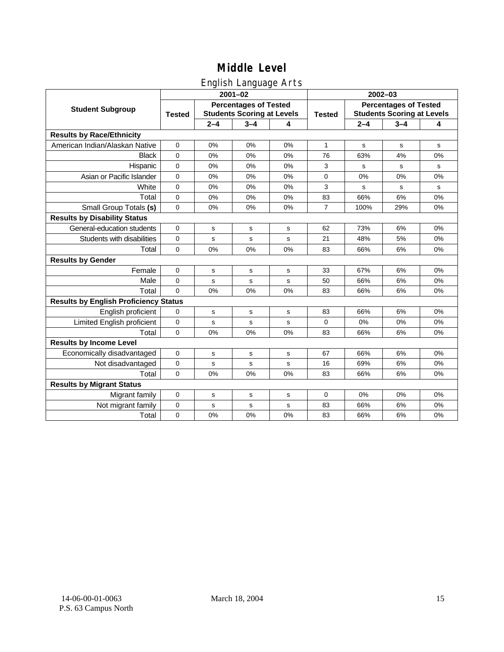## English Language Arts

|                                              |                                                                                    |             | ັ<br>$2001 - 02$ |    | 2002-03            |                                                                   |             |    |  |
|----------------------------------------------|------------------------------------------------------------------------------------|-------------|------------------|----|--------------------|-------------------------------------------------------------------|-------------|----|--|
| <b>Student Subgroup</b>                      | <b>Percentages of Tested</b><br><b>Students Scoring at Levels</b><br><b>Tested</b> |             |                  |    | <b>Tested</b>      | <b>Percentages of Tested</b><br><b>Students Scoring at Levels</b> |             |    |  |
|                                              |                                                                                    | $2 - 4$     | $3 - 4$          | 4  | $2 - 4$<br>$3 - 4$ |                                                                   |             | 4  |  |
| <b>Results by Race/Ethnicity</b>             |                                                                                    |             |                  |    |                    |                                                                   |             |    |  |
| American Indian/Alaskan Native               | $\mathbf 0$                                                                        | 0%          | 0%               | 0% | $\mathbf{1}$       | s                                                                 | $\mathbf s$ | s  |  |
| <b>Black</b>                                 | $\mathbf 0$                                                                        | 0%          | 0%               | 0% | 76                 | 63%                                                               | 4%          | 0% |  |
| Hispanic                                     | $\mathbf 0$                                                                        | 0%          | 0%               | 0% | 3                  | s                                                                 | s           | s  |  |
| Asian or Pacific Islander                    | $\mathbf 0$                                                                        | 0%          | 0%               | 0% | $\mathbf 0$        | 0%                                                                | 0%          | 0% |  |
| White                                        | $\mathbf 0$                                                                        | 0%          | 0%               | 0% | 3                  | s                                                                 | s           | s  |  |
| Total                                        | $\mathbf 0$                                                                        | 0%          | 0%               | 0% | 83                 | 66%                                                               | 6%          | 0% |  |
| Small Group Totals (s)                       | $\mathbf 0$                                                                        | 0%          | 0%               | 0% | $\overline{7}$     | 100%                                                              | 29%         | 0% |  |
| <b>Results by Disability Status</b>          |                                                                                    |             |                  |    |                    |                                                                   |             |    |  |
| General-education students                   | $\mathbf 0$                                                                        | s           | s                | s  | 62                 | 73%                                                               | 6%          | 0% |  |
| Students with disabilities                   | $\mathbf 0$                                                                        | s           | $\mathbf s$      | s  | 21                 | 48%                                                               | 5%          | 0% |  |
| Total                                        | $\mathbf 0$                                                                        | 0%          | 0%               | 0% | 83                 | 66%                                                               | 6%          | 0% |  |
| <b>Results by Gender</b>                     |                                                                                    |             |                  |    |                    |                                                                   |             |    |  |
| Female                                       | $\mathbf 0$                                                                        | s           | s                | s  | 33                 | 67%                                                               | 6%          | 0% |  |
| Male                                         | $\mathbf 0$                                                                        | s           | s                | s  | 50                 | 66%                                                               | 6%          | 0% |  |
| Total                                        | $\Omega$                                                                           | 0%          | 0%               | 0% | 83                 | 66%                                                               | 6%          | 0% |  |
| <b>Results by English Proficiency Status</b> |                                                                                    |             |                  |    |                    |                                                                   |             |    |  |
| English proficient                           | $\mathbf 0$                                                                        | $\mathbf s$ | $\mathbf s$      | s  | 83                 | 66%                                                               | 6%          | 0% |  |
| Limited English proficient                   | $\mathbf 0$                                                                        | $\mathbf s$ | $\mathbf s$      | s  | 0                  | 0%                                                                | 0%          | 0% |  |
| Total                                        | $\Omega$                                                                           | 0%          | 0%               | 0% | 83                 | 66%                                                               | 6%          | 0% |  |
| <b>Results by Income Level</b>               |                                                                                    |             |                  |    |                    |                                                                   |             |    |  |
| Economically disadvantaged                   | 0                                                                                  | s           | $\mathsf{s}$     | s  | 67                 | 66%                                                               | 6%          | 0% |  |
| Not disadvantaged                            | $\pmb{0}$                                                                          | s           | $\mathbf s$      | s  | 16                 | 69%                                                               | 6%          | 0% |  |
| Total                                        | $\mathbf 0$                                                                        | 0%          | 0%               | 0% | 83                 | 66%                                                               | 6%          | 0% |  |
| <b>Results by Migrant Status</b>             |                                                                                    |             |                  |    |                    |                                                                   |             |    |  |
| Migrant family                               | $\mathbf 0$                                                                        | s           | s                | s  | 0                  | 0%                                                                | 0%          | 0% |  |
| Not migrant family                           | $\mathbf 0$                                                                        | s           | s                | s  | 83                 | 66%                                                               | 6%          | 0% |  |
| Total                                        | $\mathbf 0$                                                                        | 0%          | 0%               | 0% | 83                 | 66%                                                               | 6%          | 0% |  |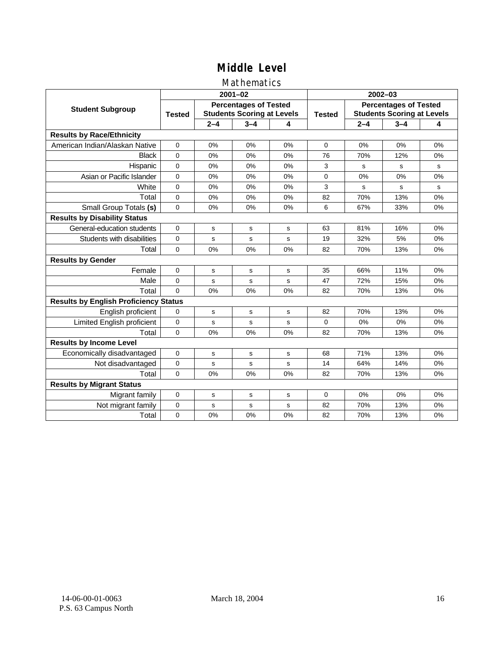## Mathematics

|                                              |                                                                                    |         | $2001 - 02$ |    | $2002 - 03$   |                                                                   |                                                                                                                                            |             |  |
|----------------------------------------------|------------------------------------------------------------------------------------|---------|-------------|----|---------------|-------------------------------------------------------------------|--------------------------------------------------------------------------------------------------------------------------------------------|-------------|--|
| <b>Student Subgroup</b>                      | <b>Percentages of Tested</b><br><b>Students Scoring at Levels</b><br><b>Tested</b> |         |             |    | <b>Tested</b> | <b>Percentages of Tested</b><br><b>Students Scoring at Levels</b> |                                                                                                                                            |             |  |
|                                              |                                                                                    | $2 - 4$ | $3 - 4$     | 4  |               | $2 - 4$                                                           | $3 - 4$<br>0%<br>12%<br>s<br>0%<br>s<br>13%<br>33%<br>16%<br>5%<br>13%<br>11%<br>15%<br>13%<br>13%<br>0%<br>13%<br>13%<br>14%<br>13%<br>0% | 4           |  |
| <b>Results by Race/Ethnicity</b>             |                                                                                    |         |             |    |               |                                                                   |                                                                                                                                            |             |  |
| American Indian/Alaskan Native               | $\Omega$                                                                           | 0%      | 0%          | 0% | $\Omega$      | 0%                                                                |                                                                                                                                            | 0%          |  |
| <b>Black</b>                                 | $\Omega$                                                                           | 0%      | 0%          | 0% | 76            | 70%                                                               |                                                                                                                                            | 0%          |  |
| Hispanic                                     | $\Omega$                                                                           | 0%      | 0%          | 0% | 3             | s                                                                 |                                                                                                                                            | s           |  |
| Asian or Pacific Islander                    | $\mathbf 0$                                                                        | 0%      | 0%          | 0% | 0             | 0%                                                                |                                                                                                                                            | 0%          |  |
| White                                        | $\mathbf 0$                                                                        | 0%      | 0%          | 0% | 3             | s                                                                 |                                                                                                                                            | $\mathbf s$ |  |
| Total                                        | $\mathbf 0$                                                                        | 0%      | 0%          | 0% | 82            | 70%                                                               |                                                                                                                                            | 0%          |  |
| Small Group Totals (s)                       | $\Omega$                                                                           | 0%      | 0%          | 0% | 6             | 67%                                                               |                                                                                                                                            | 0%          |  |
| <b>Results by Disability Status</b>          |                                                                                    |         |             |    |               |                                                                   |                                                                                                                                            |             |  |
| General-education students                   | $\Omega$                                                                           | s       | s           | s  | 63            | 81%                                                               |                                                                                                                                            | 0%          |  |
| Students with disabilities                   | $\mathbf 0$                                                                        | s       | s           | s  | 19            | 32%                                                               |                                                                                                                                            | 0%          |  |
| Total                                        | $\mathbf 0$                                                                        | 0%      | 0%          | 0% | 82            | 70%                                                               |                                                                                                                                            | 0%          |  |
| <b>Results by Gender</b>                     |                                                                                    |         |             |    |               |                                                                   |                                                                                                                                            |             |  |
| Female                                       | 0                                                                                  | s       | s           | s  | 35            | 66%                                                               |                                                                                                                                            | 0%          |  |
| Male                                         | $\mathbf 0$                                                                        | s       | s           | s  | 47            | 72%                                                               |                                                                                                                                            | 0%          |  |
| Total                                        | $\Omega$                                                                           | 0%      | 0%          | 0% | 82            | 70%                                                               |                                                                                                                                            | 0%          |  |
| <b>Results by English Proficiency Status</b> |                                                                                    |         |             |    |               |                                                                   |                                                                                                                                            |             |  |
| English proficient                           | $\mathbf 0$                                                                        | s       | s           | s  | 82            | 70%                                                               |                                                                                                                                            | 0%          |  |
| Limited English proficient                   | 0                                                                                  | s       | s           | S  | 0             | 0%                                                                |                                                                                                                                            | 0%          |  |
| Total                                        | $\Omega$                                                                           | 0%      | 0%          | 0% | 82            | 70%                                                               |                                                                                                                                            | 0%          |  |
| <b>Results by Income Level</b>               |                                                                                    |         |             |    |               |                                                                   |                                                                                                                                            |             |  |
| Economically disadvantaged                   | $\mathbf 0$                                                                        | s       | s           | s  | 68            | 71%                                                               |                                                                                                                                            | 0%          |  |
| Not disadvantaged                            | 0                                                                                  | s       | s           | s  | 14            | 64%                                                               |                                                                                                                                            | 0%          |  |
| Total                                        | $\Omega$                                                                           | 0%      | 0%          | 0% | 82            | 70%                                                               |                                                                                                                                            | 0%          |  |
| <b>Results by Migrant Status</b>             |                                                                                    |         |             |    |               |                                                                   |                                                                                                                                            |             |  |
| Migrant family                               | 0                                                                                  | s       | $\mathbf s$ | s  | 0             | 0%                                                                |                                                                                                                                            | 0%          |  |
| Not migrant family                           | $\mathbf 0$                                                                        | s       | s           | S  | 82            | 70%                                                               | 13%                                                                                                                                        | 0%          |  |
| Total                                        | $\mathbf 0$                                                                        | 0%      | 0%          | 0% | 82            | 70%                                                               | 13%                                                                                                                                        | 0%          |  |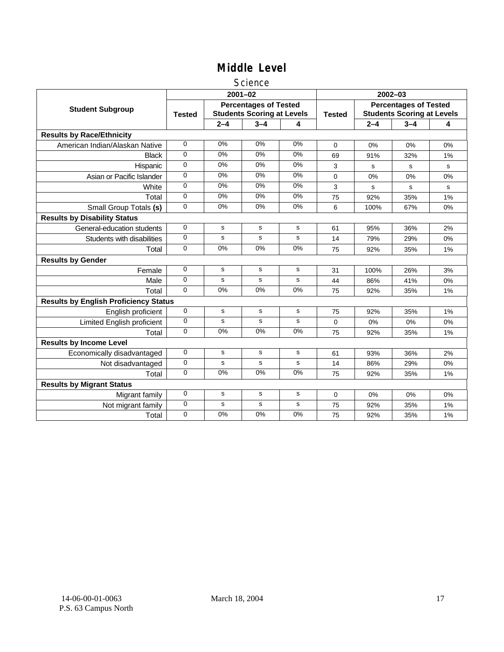#### Science

|                                              |                                                                                    |             | $2001 - 02$ |               | $2002 - 03$                                                       |             |         |    |  |
|----------------------------------------------|------------------------------------------------------------------------------------|-------------|-------------|---------------|-------------------------------------------------------------------|-------------|---------|----|--|
| <b>Student Subgroup</b>                      | <b>Percentages of Tested</b><br><b>Students Scoring at Levels</b><br><b>Tested</b> |             |             | <b>Tested</b> | <b>Percentages of Tested</b><br><b>Students Scoring at Levels</b> |             |         |    |  |
|                                              |                                                                                    | $2 - 4$     | $3 - 4$     | 4             |                                                                   | $2 - 4$     | $3 - 4$ | 4  |  |
| <b>Results by Race/Ethnicity</b>             |                                                                                    |             |             |               |                                                                   |             |         |    |  |
| American Indian/Alaskan Native               | $\mathbf 0$                                                                        | 0%          | 0%          | 0%            | $\Omega$                                                          | 0%          | 0%      | 0% |  |
| <b>Black</b>                                 | 0                                                                                  | 0%          | 0%          | 0%            | 69                                                                | 91%         | 32%     | 1% |  |
| Hispanic                                     | 0                                                                                  | 0%          | 0%          | 0%            | 3                                                                 | s           | s       | s  |  |
| Asian or Pacific Islander                    | $\Omega$                                                                           | 0%          | 0%          | $0\%$         | 0                                                                 | $0\%$       | 0%      | 0% |  |
| White                                        | $\mathbf 0$                                                                        | 0%          | 0%          | 0%            | 3                                                                 | $\mathbf s$ | s       | s  |  |
| Total                                        | $\Omega$                                                                           | 0%          | 0%          | 0%            | 75                                                                | 92%         | 35%     | 1% |  |
| Small Group Totals (s)                       | $\Omega$                                                                           | 0%          | 0%          | 0%            | 6                                                                 | 100%        | 67%     | 0% |  |
| <b>Results by Disability Status</b>          |                                                                                    |             |             |               |                                                                   |             |         |    |  |
| General-education students                   | $\mathbf 0$                                                                        | s           | s           | s             | 61                                                                | 95%         | 36%     | 2% |  |
| Students with disabilities                   | 0                                                                                  | s           | s           | s             | 14                                                                | 79%         | 29%     | 0% |  |
| Total                                        | $\mathbf 0$                                                                        | 0%          | 0%          | 0%            | 75                                                                | 92%         | 35%     | 1% |  |
| <b>Results by Gender</b>                     |                                                                                    |             |             |               |                                                                   |             |         |    |  |
| Female                                       | 0                                                                                  | s           | s           | s             | 31                                                                | 100%        | 26%     | 3% |  |
| Male                                         | $\mathbf 0$                                                                        | s           | s           | s             | 44                                                                | 86%         | 41%     | 0% |  |
| Total                                        | 0                                                                                  | 0%          | 0%          | 0%            | 75                                                                | 92%         | 35%     | 1% |  |
| <b>Results by English Proficiency Status</b> |                                                                                    |             |             |               |                                                                   |             |         |    |  |
| English proficient                           | 0                                                                                  | s           | s           | s             | 75                                                                | 92%         | 35%     | 1% |  |
| Limited English proficient                   | 0                                                                                  | s           | s           | s             | 0                                                                 | 0%          | 0%      | 0% |  |
| Total                                        | $\Omega$                                                                           | 0%          | 0%          | 0%            | 75                                                                | 92%         | 35%     | 1% |  |
| <b>Results by Income Level</b>               |                                                                                    |             |             |               |                                                                   |             |         |    |  |
| Economically disadvantaged                   | $\mathbf 0$                                                                        | s           | s           | s             | 61                                                                | 93%         | 36%     | 2% |  |
| Not disadvantaged                            | 0                                                                                  | s           | s           | $\mathbf s$   | 14                                                                | 86%         | 29%     | 0% |  |
| Total                                        | 0                                                                                  | 0%          | 0%          | 0%            | 75                                                                | 92%         | 35%     | 1% |  |
| <b>Results by Migrant Status</b>             |                                                                                    |             |             |               |                                                                   |             |         |    |  |
| Migrant family                               | 0                                                                                  | s           | s           | s             | 0                                                                 | 0%          | 0%      | 0% |  |
| Not migrant family                           | 0                                                                                  | $\mathbf s$ | $\mathbf s$ | ${\tt s}$     | 75                                                                | 92%         | 35%     | 1% |  |
| Total                                        | 0                                                                                  | 0%          | 0%          | 0%            | 75                                                                | 92%         | 35%     | 1% |  |